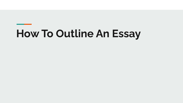## **How To Outline An Essay**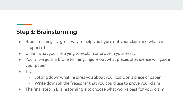## **Step 1: Brainstorming**

- Brainstorming is a great way to help you figure out your claim and what will support it!
- Claim: what you are trying to explain or prove in your essay
- Your *main* goal in brainstorming: figure out what pieces of evidence will guide your paper
- Try:
	- Jotting down what inspires you about your topic on a piece of paper
	- Write down all the "reasons" that you could use to prove your claim
- The final step in Brainstorming is to choose what works best for your claim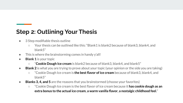## **Step 2: Outlining Your Thesis**

- 3 Step modifiable thesis outline
	- $\circ$  Your thesis can be outlined like this: "Blank1 is blank2 because of blank3, blank4, and blank5"
- This is where the brainstorming comes in handy y'all!
- **Blank 1** is your topic
	- "**Cookie Dough Ice cream** is blank2 because of blank3, blank4, and blank5"
- **Blank 2** is what you are trying to prove about your topic (your opinion or the side you are taking)
	- "Cookie Dough Ice cream is **the best flavor of ice cream** because of blank3, blank4, and blank5"
- **Blanks 3, 4, and 5** are the reasons that you brainstormed (choose your favorites)
	- "Cookie Dough Ice cream is the best flavor of ice cream because it **has cookie dough as an extra bonus to the actual ice cream**, **a warm vanilla flavor**, **a nostalgic childhood feel**."